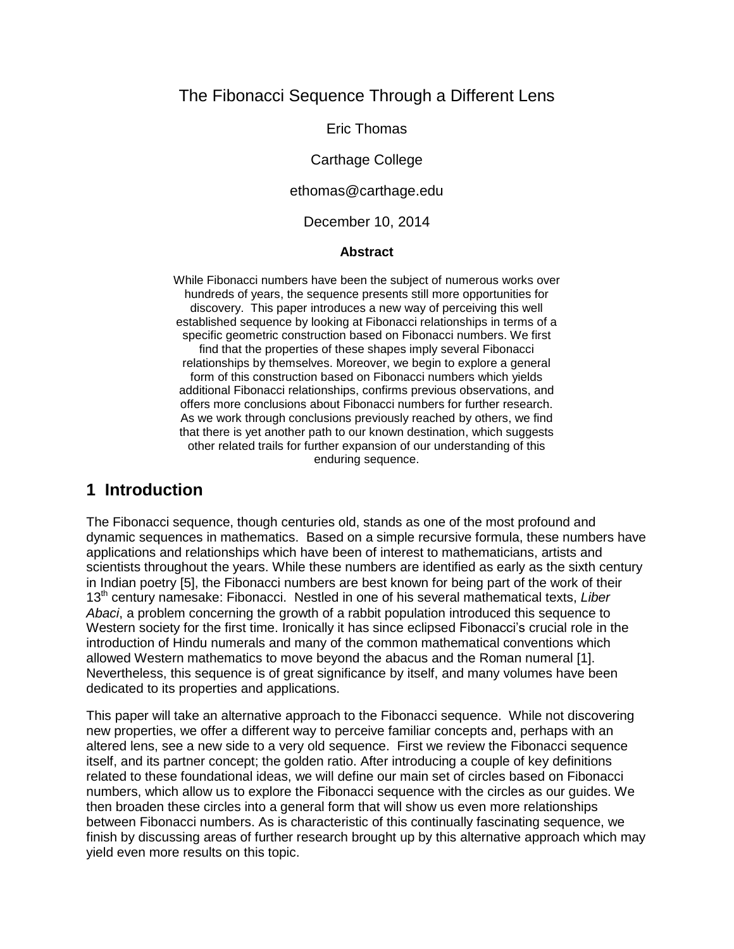### The Fibonacci Sequence Through a Different Lens

Eric Thomas

Carthage College

ethomas@carthage.edu

December 10, 2014

#### **Abstract**

While Fibonacci numbers have been the subject of numerous works over hundreds of years, the sequence presents still more opportunities for discovery. This paper introduces a new way of perceiving this well established sequence by looking at Fibonacci relationships in terms of a specific geometric construction based on Fibonacci numbers. We first find that the properties of these shapes imply several Fibonacci relationships by themselves. Moreover, we begin to explore a general form of this construction based on Fibonacci numbers which yields additional Fibonacci relationships, confirms previous observations, and offers more conclusions about Fibonacci numbers for further research. As we work through conclusions previously reached by others, we find that there is yet another path to our known destination, which suggests other related trails for further expansion of our understanding of this enduring sequence.

### **1 Introduction**

The Fibonacci sequence, though centuries old, stands as one of the most profound and dynamic sequences in mathematics. Based on a simple recursive formula, these numbers have applications and relationships which have been of interest to mathematicians, artists and scientists throughout the years. While these numbers are identified as early as the sixth century in Indian poetry [5], the Fibonacci numbers are best known for being part of the work of their 13th century namesake: Fibonacci. Nestled in one of his several mathematical texts, *Liber Abaci*, a problem concerning the growth of a rabbit population introduced this sequence to Western society for the first time. Ironically it has since eclipsed Fibonacci's crucial role in the introduction of Hindu numerals and many of the common mathematical conventions which allowed Western mathematics to move beyond the abacus and the Roman numeral [1]. Nevertheless, this sequence is of great significance by itself, and many volumes have been dedicated to its properties and applications.

This paper will take an alternative approach to the Fibonacci sequence. While not discovering new properties, we offer a different way to perceive familiar concepts and, perhaps with an altered lens, see a new side to a very old sequence. First we review the Fibonacci sequence itself, and its partner concept; the golden ratio. After introducing a couple of key definitions related to these foundational ideas, we will define our main set of circles based on Fibonacci numbers, which allow us to explore the Fibonacci sequence with the circles as our guides. We then broaden these circles into a general form that will show us even more relationships between Fibonacci numbers. As is characteristic of this continually fascinating sequence, we finish by discussing areas of further research brought up by this alternative approach which may yield even more results on this topic.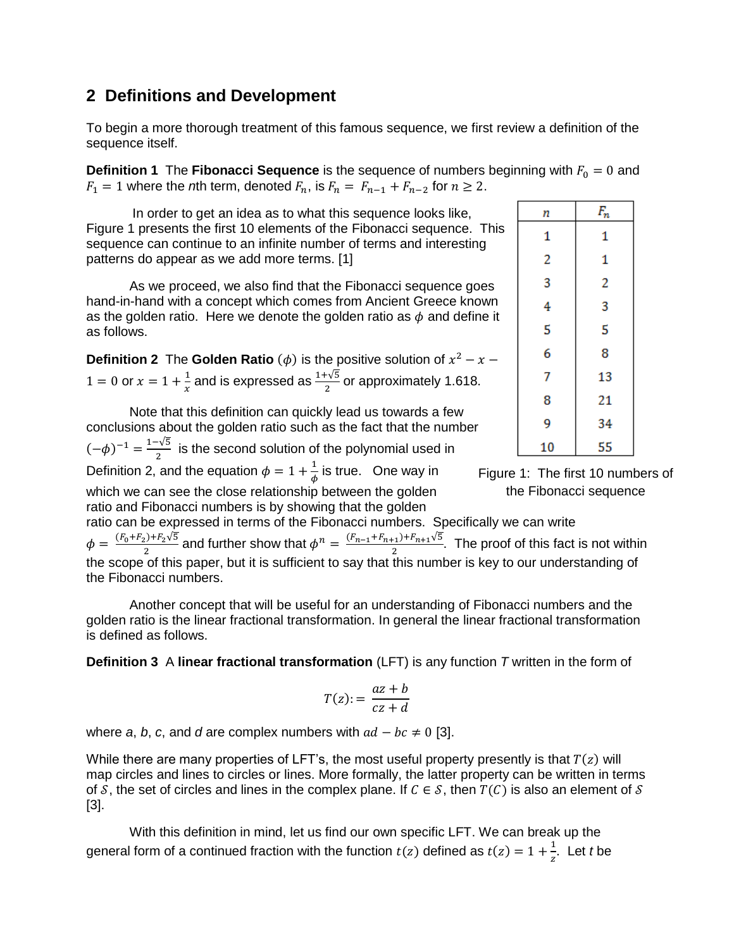# **2 Definitions and Development**

To begin a more thorough treatment of this famous sequence, we first review a definition of the sequence itself.

**Definition 1** The **Fibonacci Sequence** is the sequence of numbers beginning with  $F_0 = 0$  and  $F_1 = 1$  where the *n*th term, denoted  $F_n$ , is  $F_n = F_{n-1} + F_{n-2}$  for  $n \ge 2$ .

In order to get an idea as to what this sequence looks like, Figure 1 presents the first 10 elements of the Fibonacci sequence. This sequence can continue to an infinite number of terms and interesting patterns do appear as we add more terms. [1]

As we proceed, we also find that the Fibonacci sequence goes hand-in-hand with a concept which comes from Ancient Greece known as the golden ratio. Here we denote the golden ratio as  $\phi$  and define it as follows.

|  | <b>Definition 2</b> The Golden Ratio ( $\phi$ ) is the positive solution of $x^2 - x$               |
|--|-----------------------------------------------------------------------------------------------------|
|  | $1 = 0$ or $x = 1 + \frac{1}{x}$ and is expressed as $\frac{1+\sqrt{5}}{2}$ or approximately 1.618. |

Note that this definition can quickly lead us towards a few conclusions about the golden ratio such as the fact that the number  $(-\phi)^{-1} = \frac{1-\sqrt{5}}{2}$  $\frac{1}{2}$  is the second solution of the polynomial used in Definition 2, and the equation  $\phi = 1 + \frac{1}{4}$  $\frac{1}{\phi}$  is true. One way in which we can see the close relationship between the golden ratio and Fibonacci numbers is by showing that the golden

ratio can be expressed in terms of the Fibonacci numbers. Specifically we can write  $\phi = \frac{(F_0 + F_2) + F_2 \sqrt{5}}{2}$  $\frac{1}{2}e^{j+F_2\sqrt{5}}$  and further show that  $\phi^n = \frac{(F_{n-1}+F_{n+1})+F_{n+1}\sqrt{5}}{2}$  $\frac{2^{(1)^T F n+1^S S}}{2}$ . The proof of this fact is not within the scope of this paper, but it is sufficient to say that this number is key to our understanding of the Fibonacci numbers.

Another concept that will be useful for an understanding of Fibonacci numbers and the golden ratio is the linear fractional transformation. In general the linear fractional transformation is defined as follows.

**Definition 3** A **linear fractional transformation** (LFT) is any function *T* written in the form of

$$
T(z) := \frac{az + b}{cz + d}
$$

where *a*, *b*, *c*, and *d* are complex numbers with  $ad - bc \neq 0$  [3].

While there are many properties of LFT's, the most useful property presently is that  $T(z)$  will map circles and lines to circles or lines. More formally, the latter property can be written in terms of S, the set of circles and lines in the complex plane. If  $C \in S$ , then  $T(C)$  is also an element of S [3].

With this definition in mind, let us find our own specific LFT. We can break up the general form of a continued fraction with the function  $t(z)$  defined as  $t(z) = 1 + \frac{1}{z}$  $\frac{1}{z}$ . Let *t* be

| 4  | 3  |  |
|----|----|--|
| 5  | 5  |  |
| 6  | 8  |  |
| 7  | 13 |  |
| 8  | 21 |  |
| 9  | 34 |  |
| 10 | 55 |  |
|    |    |  |

 $F_n$ 

 $\mathbf{1}$ 

1

 $\overline{2}$ 

n  $\mathbf{1}$ 

 $\overline{c}$ 

R

Figure 1: The first 10 numbers of the Fibonacci sequence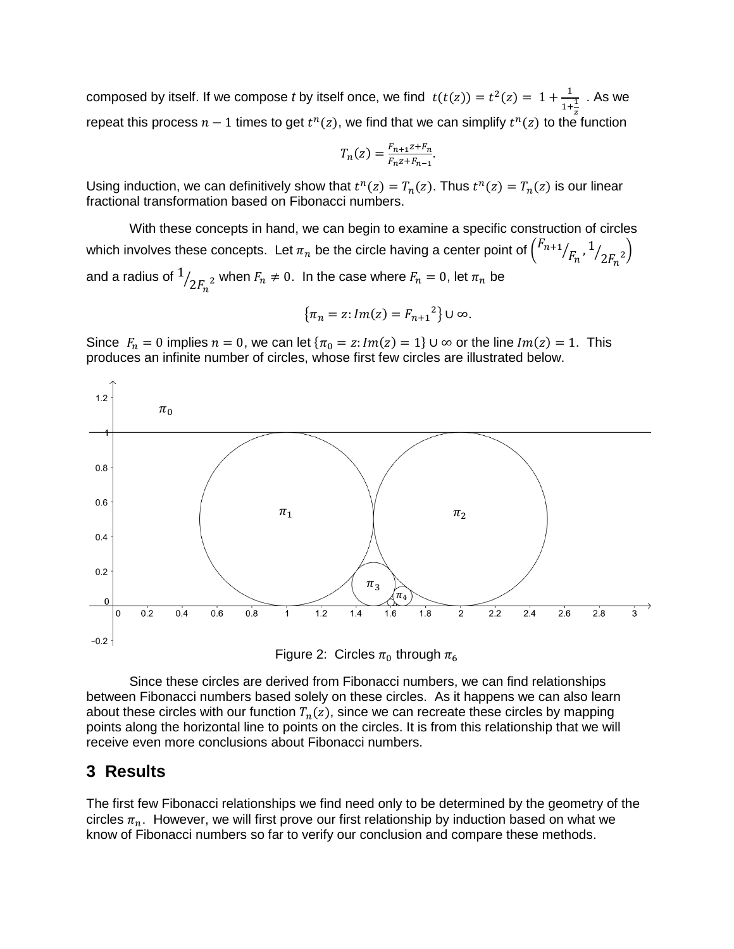composed by itself. If we compose *t* by itself once, we find  $t(t(z)) = t^2(z) = 1 + \frac{1}{z}$  $1+\frac{1}{4}$ z . As we repeat this process  $n-1$  times to get  $t^n(z)$ , we find that we can simplify  $t^n(z)$  to the function

$$
T_n(z) = \frac{F_{n+1}z + F_n}{F_n z + F_{n-1}}.
$$

Using induction, we can definitively show that  $t^n(z) = T_n(z)$ . Thus  $t^n(z) = T_n(z)$  is our linear fractional transformation based on Fibonacci numbers.

With these concepts in hand, we can begin to examine a specific construction of circles which involves these concepts. Let  $\pi_n$  be the circle having a center point of  $\binom{F_{n+1}}{}$  $/_{F_n}$ , <sup>1</sup>  $\sqrt{2F_n^2}$ and a radius of  $^{\rm 1}$  $\sqrt{2F_n^2}$  when  $F_n \neq 0$ . In the case where  $F_n = 0$ , let  $\pi_n$  be

$$
\{\pi_n = z : Im(z) = F_{n+1}^2\} \cup \infty.
$$

Since  $F_n = 0$  implies  $n = 0$ , we can let  $\{\pi_0 = z: Im(z) = 1\} \cup \infty$  or the line  $Im(z) = 1$ . This produces an infinite number of circles, whose first few circles are illustrated below.



Since these circles are derived from Fibonacci numbers, we can find relationships between Fibonacci numbers based solely on these circles. As it happens we can also learn about these circles with our function  $T_n(z)$ , since we can recreate these circles by mapping points along the horizontal line to points on the circles. It is from this relationship that we will receive even more conclusions about Fibonacci numbers.

#### **3 Results**

The first few Fibonacci relationships we find need only to be determined by the geometry of the circles  $\pi_n$ . However, we will first prove our first relationship by induction based on what we know of Fibonacci numbers so far to verify our conclusion and compare these methods.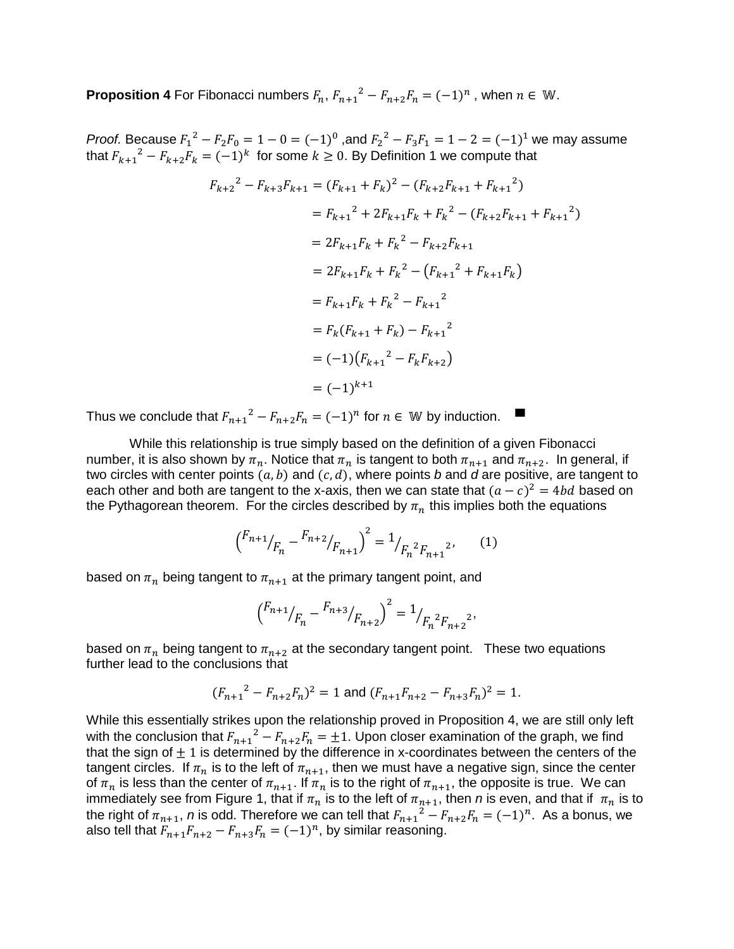**Proposition 4** For Fibonacci numbers  $F_n$ ,  $F_{n+1}^2 - F_{n+2}F_n = (-1)^n$ , when  $n \in \mathbb{W}$ .

*Proof.* Because  $F_1^2 - F_2F_0 = 1 - 0 = (-1)^0$ , and  $F_2^2 - F_3F_1 = 1 - 2 = (-1)^1$  we may assume that  $F_{k+1}{}^2 - F_{k+2}F_k = (-1)^k$  for some  $k \ge 0$ . By Definition 1 we compute that

$$
F_{k+2}^2 - F_{k+3}F_{k+1} = (F_{k+1} + F_k)^2 - (F_{k+2}F_{k+1} + F_{k+1}^2)
$$
  
\n
$$
= F_{k+1}^2 + 2F_{k+1}F_k + F_k^2 - (F_{k+2}F_{k+1} + F_{k+1}^2)
$$
  
\n
$$
= 2F_{k+1}F_k + F_k^2 - F_{k+2}F_{k+1}
$$
  
\n
$$
= 2F_{k+1}F_k + F_k^2 - (F_{k+1}^2 + F_{k+1}F_k)
$$
  
\n
$$
= F_{k+1}F_k + F_k^2 - F_{k+1}^2
$$
  
\n
$$
= F_k(F_{k+1} + F_k) - F_{k+1}^2
$$
  
\n
$$
= (-1)(F_{k+1}^2 - F_kF_{k+2})
$$
  
\n
$$
= (-1)^{k+1}
$$

Thus we conclude that  $F_{n+1}^2 - F_{n+2}F_n = (-1)^n$  for  $n \in \mathbb{W}$  by induction.

While this relationship is true simply based on the definition of a given Fibonacci number, it is also shown by  $\pi_n$ . Notice that  $\pi_n$  is tangent to both  $\pi_{n+1}$  and  $\pi_{n+2}$ . In general, if two circles with center points  $(a, b)$  and  $(c, d)$ , where points *b* and *d* are positive, are tangent to each other and both are tangent to the x-axis, then we can state that  $(a - c)^2 = 4bd$  based on the Pythagorean theorem. For the circles described by  $\pi_n$  this implies both the equations

$$
\left(\frac{F_{n+1}}{F_n} - \frac{F_{n+2}}{F_{n+1}}\right)^2 = \frac{1}{F_n^2 F_{n+1}^2},\qquad(1)
$$

based on  $\pi_n$  being tangent to  $\pi_{n+1}$  at the primary tangent point, and

$$
\left(\begin{matrix}F_{n+1}/\end{matrix}_{F_n}-\begin{matrix}F_{n+3}/\end{matrix}_{F_{n+2}}\right)^2=\mathbf{1}_{F_n^{-2}F_{n+2}^{-2}},
$$

based on  $\pi_n$  being tangent to  $\pi_{n+2}$  at the secondary tangent point. These two equations further lead to the conclusions that

$$
(F_{n+1}^2 - F_{n+2}F_n)^2 = 1
$$
 and  $(F_{n+1}F_{n+2} - F_{n+3}F_n)^2 = 1$ .

While this essentially strikes upon the relationship proved in Proposition 4, we are still only left with the conclusion that  $F_{n+1}{}^2 - F_{n+2}F_n = \pm 1$ . Upon closer examination of the graph, we find that the sign of  $\pm 1$  is determined by the difference in x-coordinates between the centers of the tangent circles. If  $\pi_n$  is to the left of  $\pi_{n+1}$ , then we must have a negative sign, since the center of  $\pi_n$  is less than the center of  $\pi_{n+1}$ . If  $\pi_n$  is to the right of  $\pi_{n+1}$ , the opposite is true. We can immediately see from Figure 1, that if  $\pi_n$  is to the left of  $\pi_{n+1}$ , then *n* is even, and that if  $\pi_n$  is to the right of  $\pi_{n+1}$ , *n* is odd. Therefore we can tell that  $F_{n+1}{}^2 - F_{n+2}F_n = (-1)^n$ . As a bonus, we also tell that  $F_{n+1}F_{n+2} - F_{n+3}F_n = (-1)^n$ , by similar reasoning.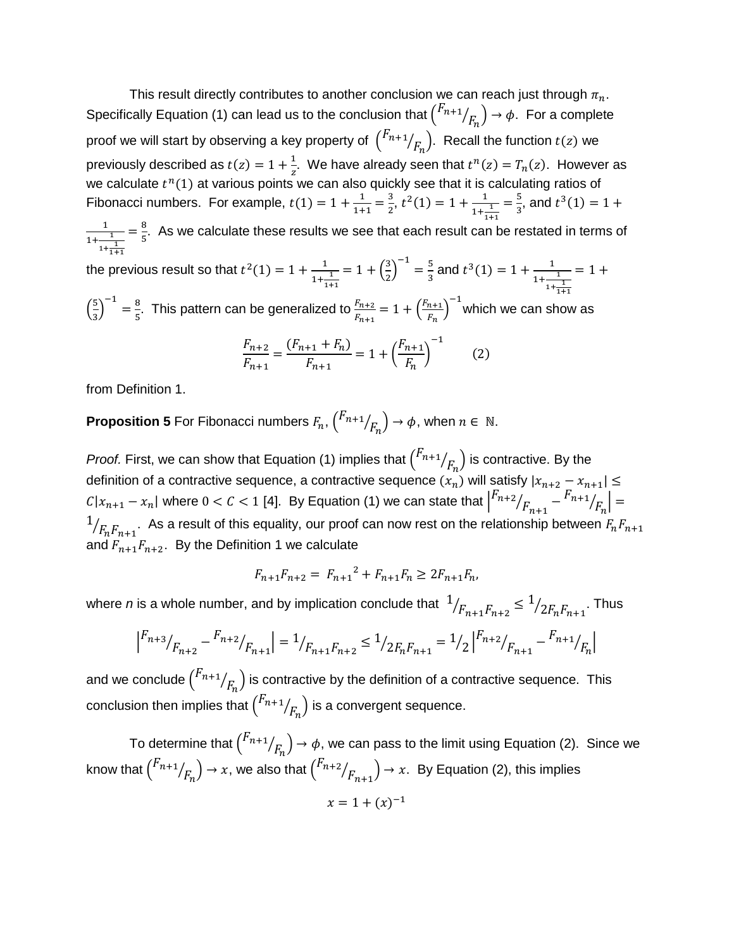This result directly contributes to another conclusion we can reach just through  $\pi_n$ . Specifically Equation (1) can lead us to the conclusion that  $\binom{F_{n+1}}{}$  $/_{F_n}) \rightarrow \phi$ . For a complete proof we will start by observing a key property of  $\,\big(\vphantom{F}^{F_{n+1}}\,$  $\langle F_n \rangle$ . Recall the function  $t(z)$  we previously described as  $t(z) = 1 + \frac{1}{z}$  $\frac{1}{z}$ . We have already seen that  $t^n(z) = T_n(z)$ . However as we calculate  $t^n(1)$  at various points we can also quickly see that it is calculating ratios of Fibonacci numbers. For example,  $t(1) = 1 + \frac{1}{10}$  $\frac{1}{1+1} = \frac{3}{2}$  $\frac{3}{2}$ ,  $t^2(1) = 1 + \frac{1}{1+1}$  $1+\frac{1}{1}$ 1+1  $=\frac{5}{3}$  $\frac{5}{3}$ , and  $t^3(1) = 1 +$ 1  $1 + \frac{1}{1}$  $1+\frac{1}{1}$ 1+1  $=\frac{8}{7}$  $\frac{6}{5}$ . As we calculate these results we see that each result can be restated in terms of the previous result so that  $t^2(1) = 1 + \frac{1}{2}$  $\frac{1}{1+\frac{1}{1+\cdots}}$ 1+1  $= 1 + \left(\frac{3}{2}\right)$  $\left(\frac{3}{2}\right)^{-1} = \frac{5}{3}$  $\frac{5}{3}$  and  $t^3(1) = 1 + \frac{1}{1 + \frac{1}{1 + \dots}}$  $\frac{1}{1+\frac{1}{1+\frac{1}{1+\frac{1}{1+\frac{1}{1+\frac{1}{1+\frac{1}{1+\frac{1}{1+\frac{1}{1+\frac{1}{1+\frac{1}{1+\frac{1}{1+\frac{1}{1+\frac{1}{1+\frac{1}{1+\frac{1}{1+\frac{1}{1+\frac{1}{1+\frac{1}{1+\frac{1}{1+\frac{1}{1+\frac{1}{1+\frac{1}{1+\frac{1}{1+\frac{1}{1+\frac{1}{1+\frac{1}{1+\frac{1}{1+\frac{1}{1+\frac{1}{1+\frac{1}{1+\frac{1}{1+\frac{1}{1+\frac{1}{1+\frac{1}{1+\frac{1}{1+\frac{1$  $1+\frac{1}{1+1}$  $= 1 +$ 

 $\left(\frac{5}{2}\right)$  $\left(\frac{5}{3}\right)^{-1} = \frac{8}{5}$  $\frac{8}{5}$ . This pattern can be generalized to  $\frac{F_{n+2}}{F_{n+1}} = 1 + \left(\frac{F_{n+1}}{F_n}\right)$  $\binom{n+1}{F_n}^{-1}$ which we can show as

$$
\frac{F_{n+2}}{F_{n+1}} = \frac{(F_{n+1} + F_n)}{F_{n+1}} = 1 + \left(\frac{F_{n+1}}{F_n}\right)^{-1}
$$
 (2)

from Definition 1.

**Proposition 5** For Fibonacci numbers  $F_n$ ,  $\binom{F_{n+1}}{F_n}$  $\mathcal{N}_{F_n}$ ) →  $\phi$ , when  $n \in \mathbb{N}$ .

*Proof.* First, we can show that Equation (1) implies that  $\binom{F_{n+1}}{F_n}$  $\langle F_n \rangle$  is contractive. By the definition of a contractive sequence, a contractive sequence  $(x_n)$  will satisfy  $|x_{n+2}-x_{n+1}|\leq 1$  $C|x_{n+1} - x_n|$  where  $0 < C < 1$  [4]. By Equation (1) we can state that  $\left| \begin{matrix} F_{n+2} \end{matrix} \right|$  $\frac{1}{F_{n+1}} - \frac{F_{n+1}}{F_n}$  $/_{F_n}$  = 1  $/_{F_n F_{n+1}}.$  As a result of this equality, our proof can now rest on the relationship between  $\mathit{F}_n \mathit{F}_{n+1}$ and  $F_{n+1}F_{n+2}$ . By the Definition 1 we calculate

$$
F_{n+1}F_{n+2} = F_{n+1}^2 + F_{n+1}F_n \ge 2F_{n+1}F_n,
$$

where  $n$  is a whole number, and by implication conclude that  $\ ^1$  $\sqrt{F_{n+1}F_{n+2}} \leq \frac{1}{2F_nF_{n+1}}$ . Thus

$$
\left| \frac{F_{n+3}}{F_{n+2}} - \frac{F_{n+2}}{F_{n+1}} \right| = \frac{1}{F_{n+1}F_{n+2}} \le \frac{1}{2F_nF_{n+1}} = \frac{1}{2}\left| \frac{F_{n+2}}{F_{n+1}} - \frac{F_{n+1}}{F_n} \right|
$$

and we conclude  $\binom{F_{n+1}}{F_{n+1}}$  $\langle F_n^{} \rangle$  is contractive by the definition of a contractive sequence. This conclusion then implies that  $\binom{F_{n+1}}{F_{n+1}}$  $\left/\mathit{F}_{\mathit{n}}\right)$  is a convergent sequence.

To determine that  $\binom{F_{n+1}}{F_{n+1}}$  $\langle \mathbf{F}_n \rangle \rightarrow \phi$ , we can pass to the limit using Equation (2). Since we know that  $\binom{F_{n+1}}{F_{n+1}}$  $\mathcal{N}_{F_n} \big) \to x$ , we also that  $\binom{F_{n+2}}{F_n}$  $\left/\mathit{F}_{n+1}\right) \rightarrow x$ . By Equation (2), this implies

$$
x=1+(x)^{-1}
$$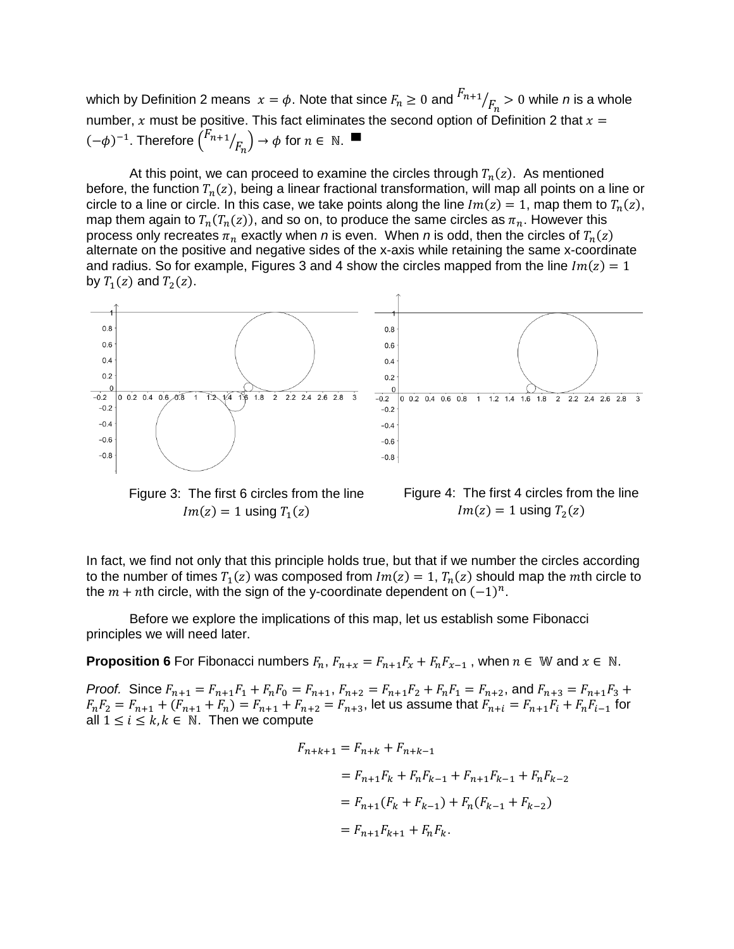which by Definition 2 means  $x = \phi$ . Note that since  $F_n \geq 0$  and  $\frac{F_{n+1}}{F_n} > 0$  while *n* is a whole number, x must be positive. This fact eliminates the second option of Definition 2 that  $x =$  $(-\phi)^{-1}$ . Therefore  $\binom{F_{n+1}}{F_n}$  $\mathcal{O}_{F_n}$ )  $\rightarrow \phi$  for  $n \in \mathbb{N}$ .

At this point, we can proceed to examine the circles through  $T_n(z)$ . As mentioned before, the function  $T_n(z)$ , being a linear fractional transformation, will map all points on a line or circle to a line or circle. In this case, we take points along the line  $Im(z) = 1$ , map them to  $T_n(z)$ , map them again to  $T_n(T_n(z))$ , and so on, to produce the same circles as  $\pi_n.$  However this process only recreates  $\pi_n$  exactly when *n* is even. When *n* is odd, then the circles of  $T_n(z)$ alternate on the positive and negative sides of the x-axis while retaining the same x-coordinate and radius. So for example, Figures 3 and 4 show the circles mapped from the line  $Im(z) = 1$ by  $T_1(z)$  and  $T_2(z)$ .



Figure 3: The first 6 circles from the line  $Im(z) = 1$  using  $T_1(z)$ 

Figure 4: The first 4 circles from the line  $Im(z) = 1$  using  $T_2(z)$ 

In fact, we find not only that this principle holds true, but that if we number the circles according to the number of times  $T_1(z)$  was composed from  $Im(z) = 1$ ,  $T_n(z)$  should map the mth circle to the  $m + n$ th circle, with the sign of the y-coordinate dependent on  $(-1)^n$ .

Before we explore the implications of this map, let us establish some Fibonacci principles we will need later.

**Proposition 6** For Fibonacci numbers  $F_n$ ,  $F_{n+x} = F_{n+1}F_x + F_nF_{x-1}$ , when  $n \in \mathbb{W}$  and  $x \in \mathbb{N}$ .

*Proof.* Since  $F_{n+1} = F_{n+1}F_1 + F_nF_0 = F_{n+1}$ ,  $F_{n+2} = F_{n+1}F_2 + F_nF_1 = F_{n+2}$ , and  $F_{n+3} = F_{n+1}F_3 + F_nF_2$  $F_nF_2 = F_{n+1} + (F_{n+1} + F_n) = F_{n+1} + F_{n+2} = F_{n+3}$ , let us assume that  $F_{n+i} = F_{n+1}F_i + F_nF_{i-1}$  for all  $1 \le i \le k, k \in \mathbb{N}$ . Then we compute

$$
F_{n+k+1} = F_{n+k} + F_{n+k-1}
$$
  
=  $F_{n+1}F_k + F_nF_{k-1} + F_{n+1}F_{k-1} + F_nF_{k-2}$   
=  $F_{n+1}(F_k + F_{k-1}) + F_n(F_{k-1} + F_{k-2})$   
=  $F_{n+1}F_{k+1} + F_nF_k$ .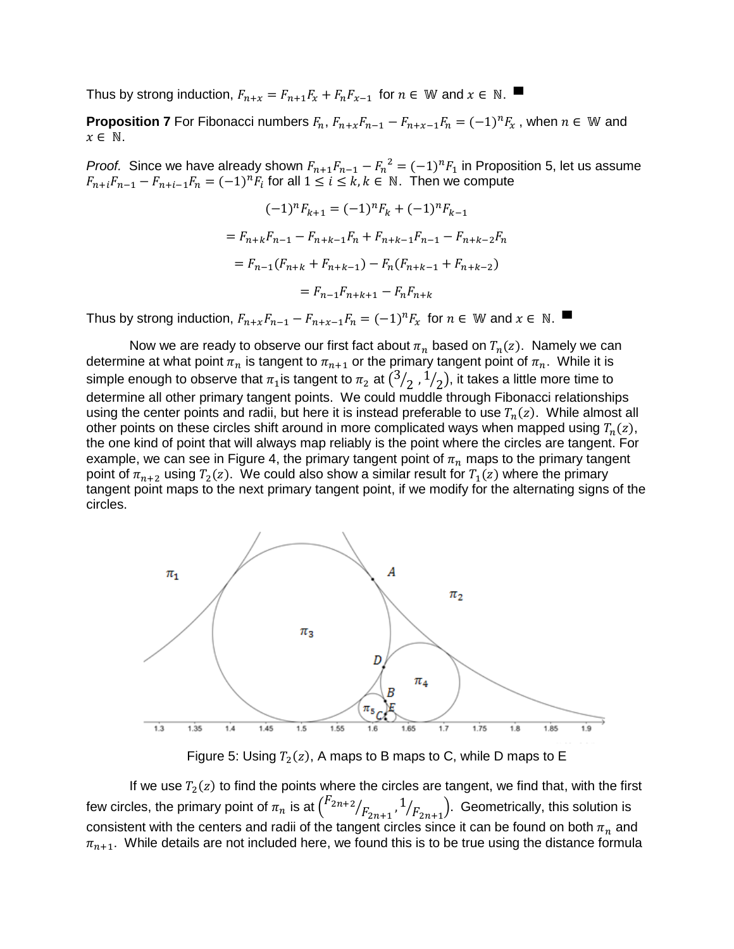Thus by strong induction,  $F_{n+x} = F_{n+1}F_x + F_nF_{x-1}$  for  $n \in \mathbb{W}$  and  $x \in \mathbb{N}$ .

**Proposition 7** For Fibonacci numbers  $F_n$ ,  $F_{n+x}F_{n-1} - F_{n+x-1}F_n = (-1)^n F_x$ , when  $n \in \mathbb{W}$  and  $x \in \mathbb{N}$ .

*Proof.* Since we have already shown  $F_{n+1}F_{n-1} - F_n^2 = (-1)^n F_1$  in Proposition 5, let us assume  $F_{n+i}F_{n-1} - F_{n+i-1}F_n = (-1)^n F_i$  for all  $1 \le i \le k, k \in \mathbb{N}$ . Then we compute

$$
(-1)^n F_{k+1} = (-1)^n F_k + (-1)^n F_{k-1}
$$
  
=  $F_{n+k} F_{n-1} - F_{n+k-1} F_n + F_{n+k-1} F_{n-1} - F_{n+k-2} F_n$   
=  $F_{n-1} (F_{n+k} + F_{n+k-1}) - F_n (F_{n+k-1} + F_{n+k-2})$   
=  $F_{n-1} F_{n+k+1} - F_n F_{n+k}$ 

Thus by strong induction,  $F_{n+x}F_{n-1} - F_{n+x-1}F_n = (-1)^n F_x$  for  $n \in \mathbb{W}$  and  $x \in \mathbb{N}$ .

Now we are ready to observe our first fact about  $\pi_n$  based on  $T_n(z)$ . Namely we can determine at what point  $\pi_n$  is tangent to  $\pi_{n+1}$  or the primary tangent point of  $\pi_n$ . While it is simple enough to observe that  $\pi_1$  is tangent to  $\pi_2$  at  $(3)$  $/_{2}$  ,  $^{1}$  $\mathcal{O}_2$ ), it takes a little more time to determine all other primary tangent points. We could muddle through Fibonacci relationships using the center points and radii, but here it is instead preferable to use  $T_n(z)$ . While almost all other points on these circles shift around in more complicated ways when mapped using  $T_n(z)$ , the one kind of point that will always map reliably is the point where the circles are tangent. For example, we can see in Figure 4, the primary tangent point of  $\pi_n$  maps to the primary tangent point of  $\pi_{n+2}$  using  $T_2(z)$ . We could also show a similar result for  $T_1(z)$  where the primary tangent point maps to the next primary tangent point, if we modify for the alternating signs of the circles.



Figure 5: Using  $T_2(z)$ , A maps to B maps to C, while D maps to E

If we use  $T_2(z)$  to find the points where the circles are tangent, we find that, with the first few circles, the primary point of  $\pi_n$  is at  $\big(\begin{smallmatrix} F_{2n+2} \end{smallmatrix}$  $\sqrt{F_{2n+1}}$ , 1  $\sqrt{F_{2n+1}}$ ). Geometrically, this solution is consistent with the centers and radii of the tangent circles since it can be found on both  $\pi_n$  and  $\pi_{n+1}$ . While details are not included here, we found this is to be true using the distance formula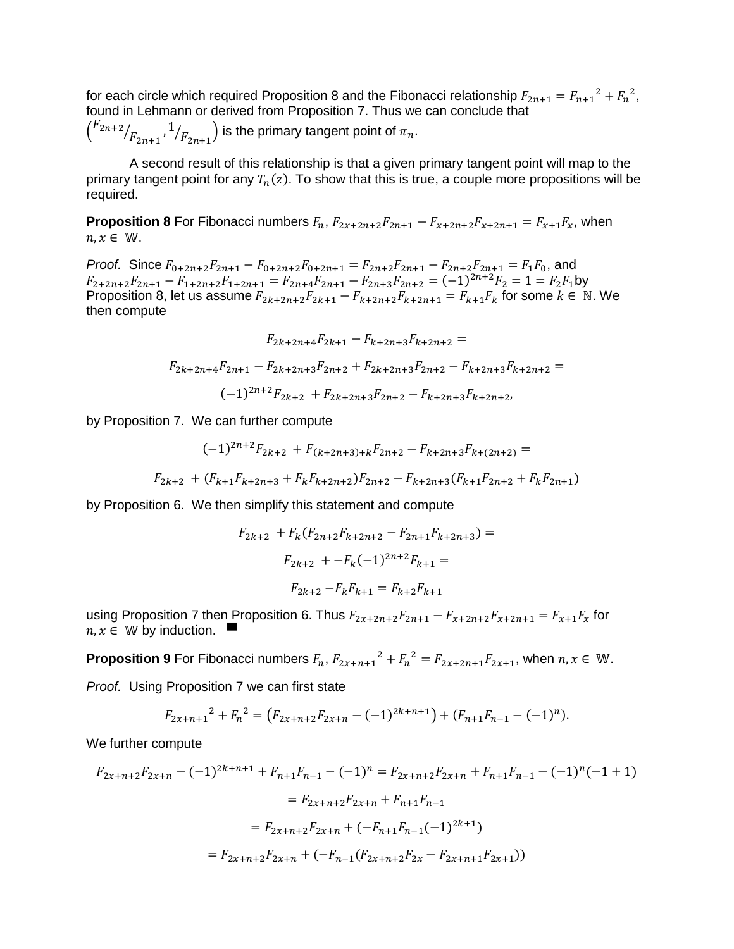for each circle which required Proposition 8 and the Fibonacci relationship  $F_{2n+1} = F_{n+1}^2 + F_n^2$ , found in Lehmann or derived from Proposition 7. Thus we can conclude that

$$
\left(\frac{F_{2n+2}}{F_{2n+1}}, 1/\frac{F_{2n+1}}{F_{2n+1}}\right)
$$
 is the primary tangent point of  $\pi_n$ .

A second result of this relationship is that a given primary tangent point will map to the primary tangent point for any  $T_n(z).$  To show that this is true, a couple more propositions will be required.

**Proposition 8** For Fibonacci numbers  $F_n$ ,  $F_{2x+2n+2}F_{2n+1} - F_{x+2n+2}F_{x+2n+1} = F_{x+1}F_x$ , when  $n, x \in \mathbb{W}$ .

*Proof.* Since  $F_{0+2n+2}F_{2n+1} - F_{0+2n+2}F_{0+2n+1} = F_{2n+2}F_{2n+1} - F_{2n+2}F_{2n+1} = F_1F_0$ , and  $F_{2+2n+2}F_{2n+1} - F_{1+2n+2}F_{1+2n+1} = F_{2n+4}F_{2n+1} - F_{2n+3}F_{2n+2} = (-1)^{2n+2}F_2 = 1 = F_2F_1$ by Proposition 8, let us assume  $F_{2k+2n+2}F_{2k+1} - F_{k+2n+2}F_{k+2n+1} = F_{k+1}F_k$  for some  $k \in \mathbb{N}$ . We then compute

$$
F_{2k+2n+4}F_{2k+1} - F_{k+2n+3}F_{k+2n+2} =
$$
  

$$
F_{2k+2n+4}F_{2n+1} - F_{2k+2n+3}F_{2n+2} + F_{2k+2n+3}F_{2n+2} - F_{k+2n+3}F_{k+2n+2} =
$$
  

$$
(-1)^{2n+2}F_{2k+2} + F_{2k+2n+3}F_{2n+2} - F_{k+2n+3}F_{k+2n+2},
$$

by Proposition 7. We can further compute

$$
(-1)^{2n+2}F_{2k+2} + F_{(k+2n+3)+k}F_{2n+2} - F_{k+2n+3}F_{k+(2n+2)} =
$$
  

$$
F_{2k+2} + (F_{k+1}F_{k+2n+3} + F_kF_{k+2n+2})F_{2n+2} - F_{k+2n+3}(F_{k+1}F_{2n+2} + F_kF_{2n+1})
$$

by Proposition 6. We then simplify this statement and compute

$$
F_{2k+2} + F_k(F_{2n+2}F_{k+2n+2} - F_{2n+1}F_{k+2n+3}) =
$$
  

$$
F_{2k+2} + -F_k(-1)^{2n+2}F_{k+1} =
$$
  

$$
F_{2k+2} - F_kF_{k+1} = F_{k+2}F_{k+1}
$$

using Proposition 7 then Proposition 6. Thus  $F_{2x+2n+2}F_{2n+1} - F_{x+2n+2}F_{x+2n+1} = F_{x+1}F_x$  for  $n, x \in \mathbb{W}$  by induction.  $\blacksquare$ 

**Proposition 9** For Fibonacci numbers  $F_n$ ,  $F_{2x+n+1}^2 + F_n^2 = F_{2x+2n+1}F_{2x+1}$ , when  $n, x \in \mathbb{W}$ .

*Proof.* Using Proposition 7 we can first state

$$
F_{2x+n+1}^2 + F_n^2 = (F_{2x+n+2}F_{2x+n} - (-1)^{2k+n+1}) + (F_{n+1}F_{n-1} - (-1)^n).
$$

We further compute

$$
F_{2x+n+2}F_{2x+n} - (-1)^{2k+n+1} + F_{n+1}F_{n-1} - (-1)^n = F_{2x+n+2}F_{2x+n} + F_{n+1}F_{n-1} - (-1)^n(-1+1)
$$

$$
= F_{2x+n+2}F_{2x+n} + F_{n+1}F_{n-1}
$$

$$
= F_{2x+n+2}F_{2x+n} + (-F_{n+1}F_{n-1}(-1)^{2k+1})
$$

$$
= F_{2x+n+2}F_{2x+n} + (-F_{n-1}(F_{2x+n+2}F_{2x} - F_{2x+n+1}F_{2x+1}))
$$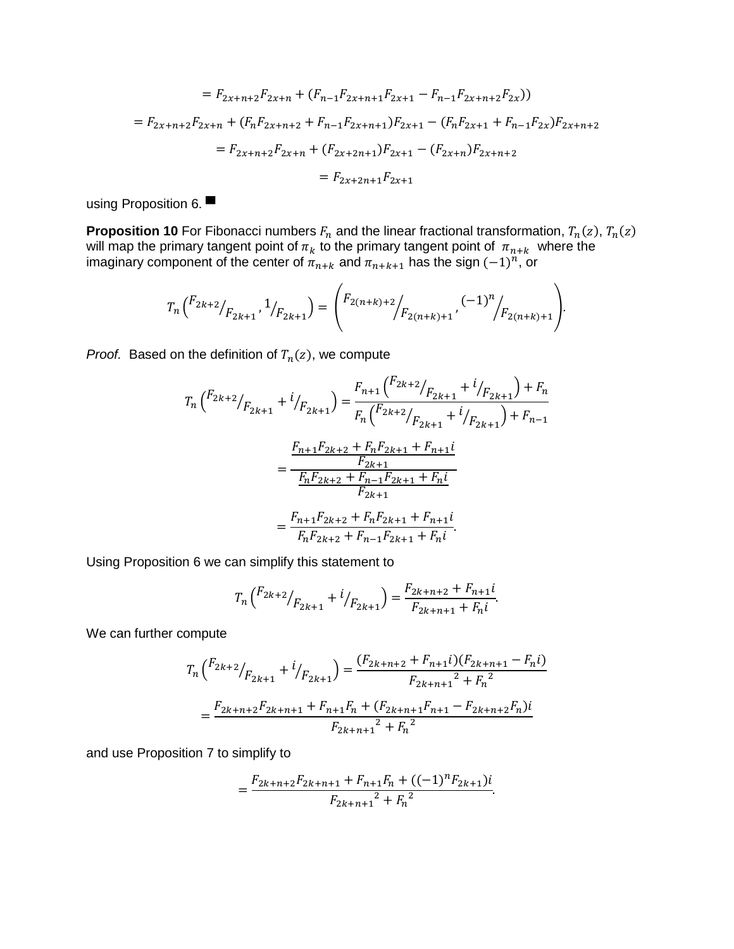$$
= F_{2x+n+2}F_{2x+n} + (F_{n-1}F_{2x+n+1}F_{2x+1} - F_{n-1}F_{2x+n+2}F_{2x}))
$$
  
=  $F_{2x+n+2}F_{2x+n} + (F_nF_{2x+n+2} + F_{n-1}F_{2x+n+1})F_{2x+1} - (F_nF_{2x+1} + F_{n-1}F_{2x})F_{2x+n+2}$   
=  $F_{2x+n+2}F_{2x+n} + (F_{2x+2n+1})F_{2x+1} - (F_{2x+n})F_{2x+n+2}$   
=  $F_{2x+2n+1}F_{2x+1}$ 

using Proposition 6.

**Proposition 10** For Fibonacci numbers  $F_n$  and the linear fractional transformation,  $T_n(z)$ ,  $T_n(z)$ will map the primary tangent point of  $\pi_k$  to the primary tangent point of  $\pi_{n+k}$  where the imaginary component of the center of  $\pi_{n+k}$  and  $\pi_{n+k+1}$  has the sign  $(-1)^n$ , or

$$
T_n\left(\binom{F_{2k+2}}{F_{2k+1}},\binom{1}{F_{2k+1}}\right) = \left(\binom{F_{2(n+k)+2}}{F_{2(n+k)+1}},\binom{(-1)^n}{F_{2(n+k)+1}}\right).
$$

*Proof.* Based on the definition of  $T_n(z)$ , we compute

$$
T_n\left(\frac{F_{2k+2}}{F_{2k+1}} + i/_{F_{2k+1}}\right) = \frac{F_{n+1}\left(\frac{F_{2k+2}}{F_{2k+1}} + i/_{F_{2k+1}}\right) + F_n}{F_n\left(\frac{F_{2k+2}}{F_{2k+1}} + i/_{F_{2k+1}}\right) + F_{n-1}}
$$

$$
= \frac{\frac{F_{n+1}F_{2k+2} + F_nF_{2k+1} + F_{n+1}i}{F_{2k+1}}}{\frac{F_nF_{2k+2} + F_{n-1}F_{2k+1} + F_ni}{F_{2k+1}}}
$$

$$
= \frac{F_{n+1}F_{2k+2} + F_nF_{2k+1} + F_{n+1}i}{F_nF_{2k+2} + F_{n-1}F_{2k+1} + F_ni}.
$$

Using Proposition 6 we can simplify this statement to

$$
T_n\left(\frac{F_{2k+2}}{F_{2k+1}} + \frac{i}{F_{2k+1}}\right) = \frac{F_{2k+n+2} + F_{n+1}i}{F_{2k+n+1} + F_n i}.
$$

We can further compute

$$
T_n\left(\frac{F_{2k+2}}{F_{2k+1}} + \frac{i}{F_{2k+1}}\right) = \frac{(F_{2k+n+2} + F_{n+1}i)(F_{2k+n+1} - F_ni)}{F_{2k+n+1}^2 + F_n^2}
$$

$$
= \frac{F_{2k+n+2}F_{2k+n+1} + F_{n+1}F_n + (F_{2k+n+1}F_{n+1} - F_{2k+n+2}F_n)i}{F_{2k+n+1}^2 + F_n^2}
$$

and use Proposition 7 to simplify to

$$
=\frac{F_{2k+n+2}F_{2k+n+1}+F_{n+1}F_n+((-1)^nF_{2k+1})i}{F_{2k+n+1}^2+F_n^2}.
$$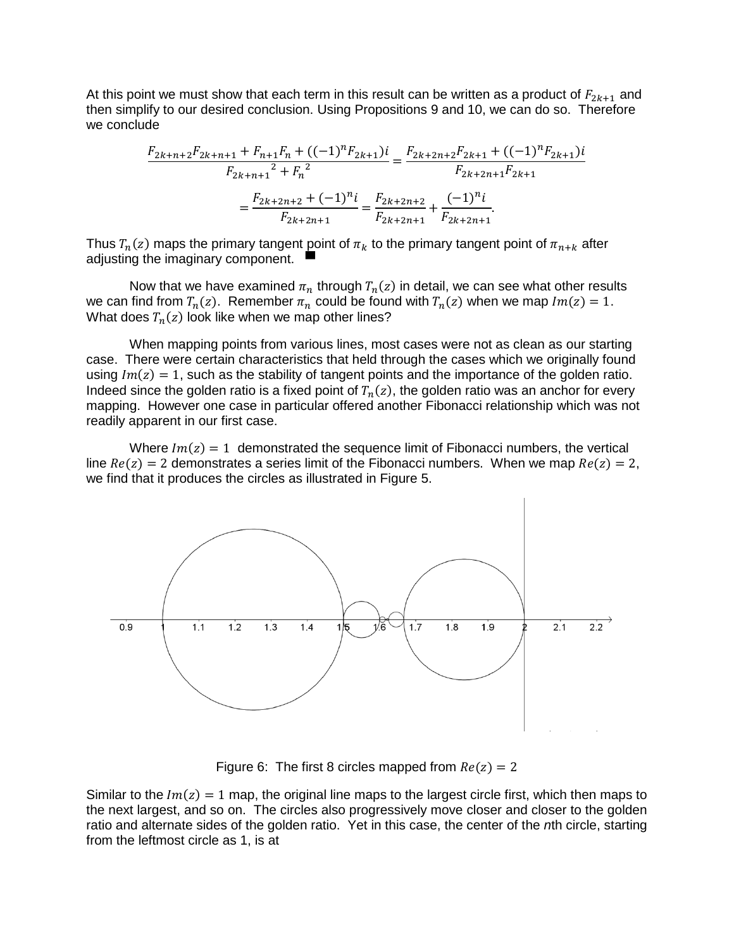At this point we must show that each term in this result can be written as a product of  $F_{2k+1}$  and then simplify to our desired conclusion. Using Propositions 9 and 10, we can do so. Therefore we conclude

$$
\frac{F_{2k+n+2}F_{2k+n+1} + F_{n+1}F_n + ((-1)^n F_{2k+1})i}{F_{2k+n+1}^2 + F_n^2} = \frac{F_{2k+2n+2}F_{2k+1} + ((-1)^n F_{2k+1})i}{F_{2k+2n+1}F_{2k+1}}
$$

$$
= \frac{F_{2k+2n+2} + (-1)^n i}{F_{2k+2n+1}} = \frac{F_{2k+2n+2}}{F_{2k+2n+1}} + \frac{(-1)^n i}{F_{2k+2n+1}}.
$$

Thus  $T_n(z)$  maps the primary tangent  $\frac{1}{2}$  point of  $\pi_k$  to the primary tangent point of  $\pi_{n+k}$  after adjusting the imaginary component.

Now that we have examined  $\pi_n$  through  $T_n(z)$  in detail, we can see what other results we can find from  $T_n(z)$ . Remember  $\pi_n$  could be found with  $T_n(z)$  when we map  $Im(z) = 1$ . What does  $T_n(z)$  look like when we map other lines?

When mapping points from various lines, most cases were not as clean as our starting case. There were certain characteristics that held through the cases which we originally found using  $Im(z) = 1$ , such as the stability of tangent points and the importance of the golden ratio. Indeed since the golden ratio is a fixed point of  $T_n(z)$ , the golden ratio was an anchor for every mapping. However one case in particular offered another Fibonacci relationship which was not readily apparent in our first case.

Where  $Im(z) = 1$  demonstrated the sequence limit of Fibonacci numbers, the vertical line  $Re(z) = 2$  demonstrates a series limit of the Fibonacci numbers. When we map  $Re(z) = 2$ , we find that it produces the circles as illustrated in Figure 5.



Figure 6: The first 8 circles mapped from  $Re(z) = 2$ 

Similar to the  $Im(z) = 1$  map, the original line maps to the largest circle first, which then maps to the next largest, and so on. The circles also progressively move closer and closer to the golden ratio and alternate sides of the golden ratio. Yet in this case, the center of the *n*th circle, starting from the leftmost circle as 1, is at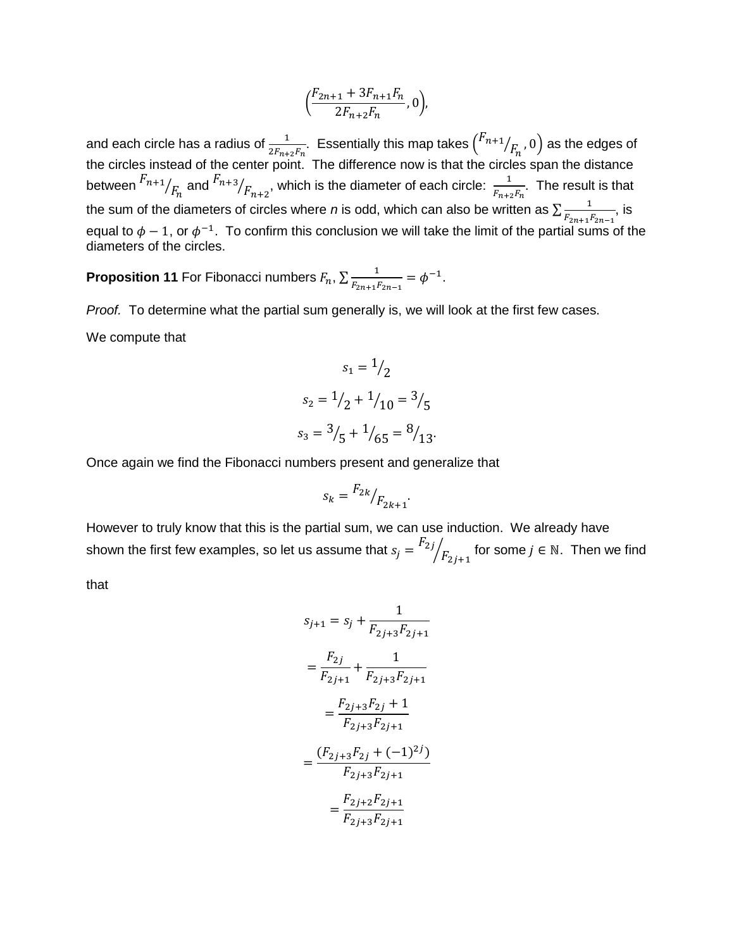$$
\left(\frac{F_{2n+1} + 3F_{n+1}F_n}{2F_{n+2}F_n}, 0\right),\,
$$

and each circle has a radius of  $\frac{1}{2F_{n+2}F_n}$ . Essentially this map takes  $\binom{F_{n+1}}{}$  $\left/_{F_{n}},0\right)$  as the edges of the circles instead of the center point. The difference now is that the circles span the distance between  $\frac{F_{n+1}}{F_n}$  and  $\frac{F_{n+3}}{F_{n+2}}$ , which is the diameter of each circle:  $\frac{1}{F_{n+2}}$  $\frac{1}{F_{n+2}F_n}$ . The result is that the sum of the diameters of circles where *n* is odd, which can also be written as  $\sum_{n=1}^{\infty}$  $\frac{1}{F_{2n+1}F_{2n-1}}$ , is equal to  $\phi - 1$ , or  $\phi^{-1}$ . To confirm this conclusion we will take the limit of the partial sums of the diameters of the circles.

**Proposition 11** For Fibonacci numbers  $F_n$ ,  $\sum_{K} \frac{1}{\sqrt{1 - x^2}}$  $\frac{1}{F_{2n+1}F_{2n-1}} = \phi^{-1}.$ 

*Proof.* To determine what the partial sum generally is, we will look at the first few cases. We compute that

$$
s_1 = \frac{1}{2}
$$
  
\n
$$
s_2 = \frac{1}{2} + \frac{1}{10} = \frac{3}{5}
$$
  
\n
$$
s_3 = \frac{3}{5} + \frac{1}{65} = \frac{8}{13}
$$

Once again we find the Fibonacci numbers present and generalize that

$$
s_k = \frac{F_{2k}}{F_{2k+1}}.
$$

However to truly know that this is the partial sum, we can use induction. We already have shown the first few examples, so let us assume that  $s_j = \frac{F_{2j}}{2}$  $\sqrt{F_{2j+1}}$  for some  $j \in \mathbb{N}$ . Then we find

that

$$
s_{j+1} = s_j + \frac{1}{F_{2j+3}F_{2j+1}}
$$
  
=  $\frac{F_{2j}}{F_{2j+1}} + \frac{1}{F_{2j+3}F_{2j+1}}$   
=  $\frac{F_{2j+3}F_{2j} + 1}{F_{2j+3}F_{2j+1}}$   
=  $\frac{(F_{2j+3}F_{2j} + (-1)^{2j})}{F_{2j+3}F_{2j+1}}$   
=  $\frac{F_{2j+2}F_{2j+1}}{F_{2j+3}F_{2j+1}}$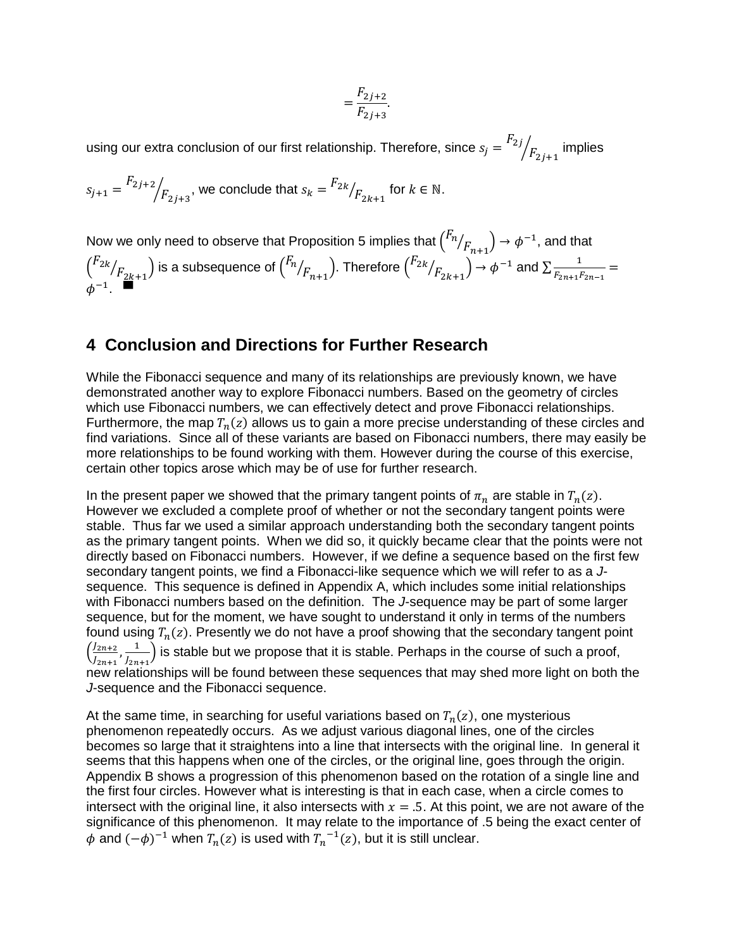$$
=\frac{F_{2j+2}}{F_{2j+3}}.
$$

using our extra conclusion of our first relationship. Therefore, since  $s_j = \frac{F_{2j}}{F_{2j}}$  $\sqrt{F_{2\,j+1}}$  implies

$$
s_{j+1} = \frac{F_{2j+2}}{F_{2j+3}}
$$
, we conclude that  $s_k = \frac{F_{2k}}{F_{2k+1}}$  for  $k \in \mathbb{N}$ .

Now we only need to observe that Proposition 5 implies that  $\binom{F_n}{}$  $\mathcal{N}_{F_{n+1}}$   $\rightarrow \phi^{-1}$ , and that  $\int_0^F z k$  $\sqrt{F_{2k+1}}\big)$  is a subsequence of  $\binom{F_n}{k}$  $\sqrt{F_{n+1}}$ ). Therefore  $\binom{F_{2k}}{F_{2k}}$  $\mathcal{L}_{F_{2k+1}}$   $\rightarrow \phi^{-1}$  and  $\Sigma \frac{1}{F_{2n+1}P_{2n+1}}$  $\frac{1}{F_{2n+1}F_{2n-1}} =$  $\phi^{-1}$ . ■

### **4 Conclusion and Directions for Further Research**

While the Fibonacci sequence and many of its relationships are previously known, we have demonstrated another way to explore Fibonacci numbers. Based on the geometry of circles which use Fibonacci numbers, we can effectively detect and prove Fibonacci relationships. Furthermore, the map  $T_n(z)$  allows us to gain a more precise understanding of these circles and find variations. Since all of these variants are based on Fibonacci numbers, there may easily be more relationships to be found working with them. However during the course of this exercise, certain other topics arose which may be of use for further research.

In the present paper we showed that the primary tangent points of  $\pi_n$  are stable in  $T_n(z)$ . However we excluded a complete proof of whether or not the secondary tangent points were stable. Thus far we used a similar approach understanding both the secondary tangent points as the primary tangent points. When we did so, it quickly became clear that the points were not directly based on Fibonacci numbers. However, if we define a sequence based on the first few secondary tangent points, we find a Fibonacci-like sequence which we will refer to as a *J*sequence. This sequence is defined in Appendix A, which includes some initial relationships with Fibonacci numbers based on the definition. The *J*-sequence may be part of some larger sequence, but for the moment, we have sought to understand it only in terms of the numbers found using  $T_n(z)$ . Presently we do not have a proof showing that the secondary tangent point  $\left(\frac{J_{2n+2}}{I_{2n+2}}\right)$  $\frac{J_{2n+2}}{J_{2n+1}}, \frac{1}{J_{2n}}$  $\left(\frac{1}{J_{2n+1}}\right)$  is stable but we propose that it is stable. Perhaps in the course of such a proof, new relationships will be found between these sequences that may shed more light on both the *J*-sequence and the Fibonacci sequence.

At the same time, in searching for useful variations based on  $T_n(z)$ , one mysterious phenomenon repeatedly occurs. As we adjust various diagonal lines, one of the circles becomes so large that it straightens into a line that intersects with the original line. In general it seems that this happens when one of the circles, or the original line, goes through the origin. Appendix B shows a progression of this phenomenon based on the rotation of a single line and the first four circles. However what is interesting is that in each case, when a circle comes to intersect with the original line, it also intersects with  $x = .5$ . At this point, we are not aware of the significance of this phenomenon. It may relate to the importance of .5 being the exact center of  $\phi$  and  $(-\phi)^{-1}$  when  $T_n(z)$  is used with  $T_n^{-1}(z)$ , but it is still unclear.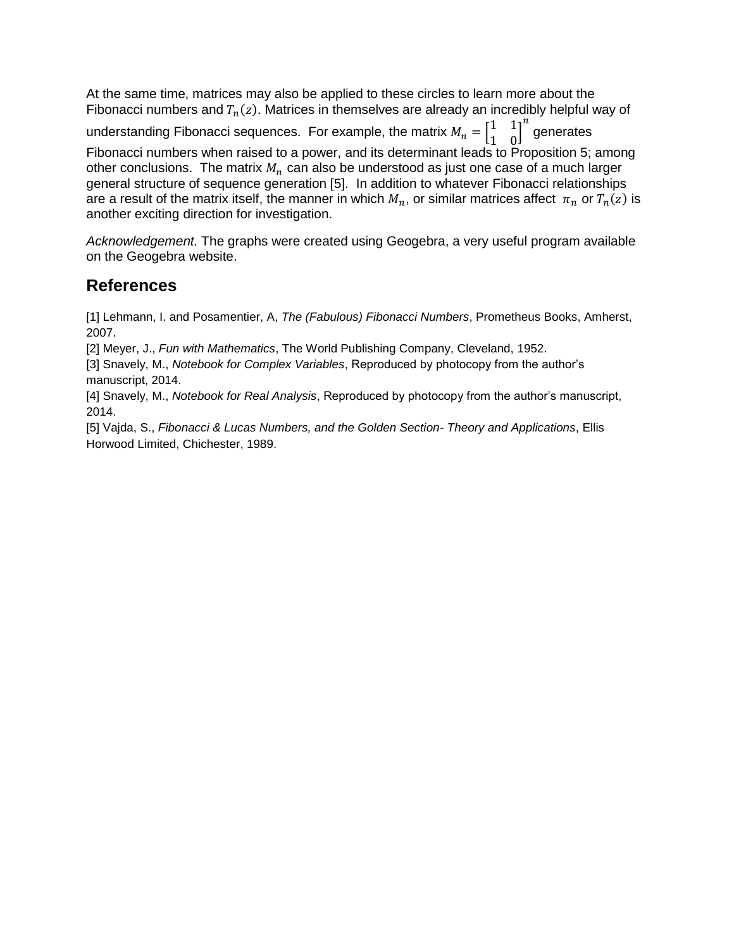At the same time, matrices may also be applied to these circles to learn more about the Fibonacci numbers and  $T_n(z)$ . Matrices in themselves are already an incredibly helpful way of understanding Fibonacci sequences. For example, the matrix  $M_n = \begin{bmatrix} 1 & 1 \ 1 & 0 \end{bmatrix}$  $\begin{bmatrix} 1 & 1 \\ 1 & 0 \end{bmatrix}$  $\boldsymbol{n}$ generates Fibonacci numbers when raised to a power, and its determinant leads to Proposition 5; among other conclusions. The matrix  $M_n$  can also be understood as just one case of a much larger general structure of sequence generation [5]. In addition to whatever Fibonacci relationships are a result of the matrix itself, the manner in which  $M_n$ , or similar matrices affect  $\pi_n$  or  $T_n(z)$  is another exciting direction for investigation.

*Acknowledgement.* The graphs were created using Geogebra, a very useful program available on the Geogebra website.

# **References**

[1] Lehmann, I. and Posamentier, A, *The (Fabulous) Fibonacci Numbers*, Prometheus Books, Amherst, 2007.

[2] Meyer, J., *Fun with Mathematics*, The World Publishing Company, Cleveland, 1952.

[3] Snavely, M., *Notebook for Complex Variables*, Reproduced by photocopy from the author's manuscript, 2014.

[4] Snavely, M., *Notebook for Real Analysis*, Reproduced by photocopy from the author's manuscript, 2014.

[5] Vajda, S., *Fibonacci & Lucas Numbers, and the Golden Section- Theory and Applications*, Ellis Horwood Limited, Chichester, 1989.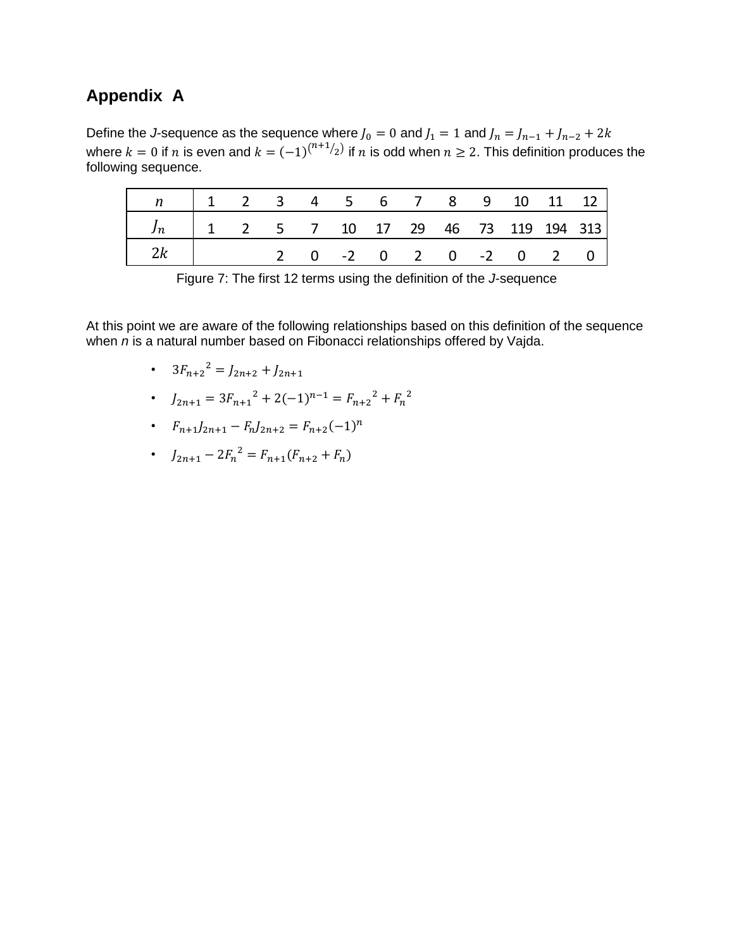# **Appendix A**

Define the *J*-sequence as the sequence where  $J_0 = 0$  and  $J_1 = 1$  and  $J_n = J_{n-1} + J_{n-2} + 2k$ where  $k = 0$  if  $n$  is even and  $k = (-1)^{(n+1)/2}$  if  $n$  is odd when  $n \geq 2$ . This definition produces the following sequence.

|                                                                     |  |  |  |  |  |  |  |  | 1 2 3 4 5 6 7 8 9 10 11 12                                                               |  |  |
|---------------------------------------------------------------------|--|--|--|--|--|--|--|--|------------------------------------------------------------------------------------------|--|--|
|                                                                     |  |  |  |  |  |  |  |  | $\begin{vmatrix} 1 & 2 & 5 & 7 & 10 & 17 & 29 & 46 & 73 & 119 & 194 & 313 \end{vmatrix}$ |  |  |
|                                                                     |  |  |  |  |  |  |  |  | 2 0 -2 0 2 0 -2 0 2 0                                                                    |  |  |
| Figure 7: The first 12 terms using the definition of the J-sequence |  |  |  |  |  |  |  |  |                                                                                          |  |  |

At this point we are aware of the following relationships based on this definition of the sequence when *n* is a natural number based on Fibonacci relationships offered by Vajda.

- $3F_{n+2}^2 = J_{2n+2} + J_{2n+1}$
- $J_{2n+1} = 3F_{n+1}^2 + 2(-1)^{n-1} = F_{n+2}^2 + F_n^2$
- $F_{n+1}J_{2n+1} F_n J_{2n+2} = F_{n+2}(-1)^n$
- $J_{2n+1} 2F_n^2 = F_{n+1}(F_{n+2} + F_n)$